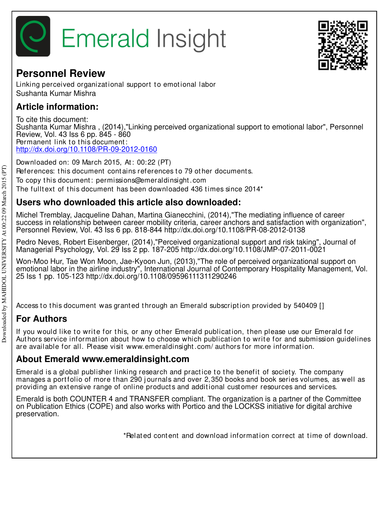



# **Personnel Review**

Linking perceived organizational support to emotional labor Sushanta Kumar Mishra

# **Article information:**

To cite this document: Sushanta Kumar Mishra , (2014),"Linking perceived organizational support to emotional labor", Personnel Review, Vol. 43 Iss 6 pp. 845 - 860 Permanent link to this document: http://dx.doi.org/10.1108/PR-09-2012-0160

Downloaded on: 09 March 2015, At : 00:22 (PT) References: this document contains references to 79 other documents. To copy t his document : permissions@emeraldinsight .com The fulltext of this document has been downloaded  $436$  times since  $2014<sup>*</sup>$ 

# **Users who downloaded this article also downloaded:**

Michel Tremblay, Jacqueline Dahan, Martina Gianecchini, (2014),"The mediating influence of career success in relationship between career mobility criteria, career anchors and satisfaction with organization", Personnel Review, Vol. 43 Iss 6 pp. 818-844 http://dx.doi.org/10.1108/PR-08-2012-0138

Pedro Neves, Robert Eisenberger, (2014),"Perceived organizational support and risk taking", Journal of Managerial Psychology, Vol. 29 Iss 2 pp. 187-205 http://dx.doi.org/10.1108/JMP-07-2011-0021

Won-Moo Hur, Tae Won Moon, Jae-Kyoon Jun, (2013),"The role of perceived organizational support on emotional labor in the airline industry", International Journal of Contemporary Hospitality Management, Vol. 25 Iss 1 pp. 105-123 http://dx.doi.org/10.1108/09596111311290246

Access to this document was granted through an Emerald subscription provided by 540409 []

# **For Authors**

If you would like to write for this, or any other Emerald publication, then please use our Emerald for Authors service information about how to choose which publication to write for and submission guidelines are available for all. Please visit www.emeraldinsight .com/ aut hors for more informat ion.

# **About Emerald www.emeraldinsight.com**

Emerald is a global publisher linking research and practice to the benefit of society. The company manages a portfolio of more than 290 journals and over 2,350 books and book series volumes, as well as providing an extensive range of online products and additional customer resources and services.

Emerald is both COUNTER 4 and TRANSFER compliant. The organization is a partner of the Committee on Publication Ethics (COPE) and also works with Portico and the LOCKSS initiative for digital archive preservation.

\*Relat ed cont ent and download informat ion correct at t ime of download.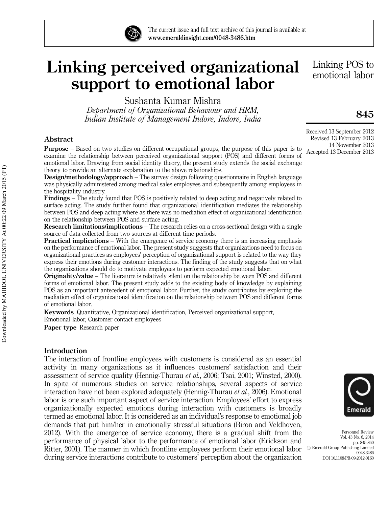

# Linking perceived organizational support to emotional labor

Sushanta Kumar Mishra

*Department of Organizational Behaviour and HRM, Indian Institute of Management Indore, Indore, India*

## Abstract

Purpose – Based on two studies on different occupational groups, the purpose of this paper is to examine the relationship between perceived organizational support (POS) and different forms of emotional labor. Drawing from social identity theory, the present study extends the social exchange theory to provide an alternate explanation to the above relationships.

Design/methodology/approach – The survey design following questionnaire in English language was physically administered among medical sales employees and subsequently among employees in the hospitality industry.

Findings – The study found that POS is positively related to deep acting and negatively related to surface acting. The study further found that organizational identification mediates the relationship between POS and deep acting where as there was no mediation effect of organizational identification on the relationship between POS and surface acting.

Research limitations/implications – The research relies on a cross-sectional design with a single source of data collected from two sources at different time periods.

**Practical implications** – With the emergence of service economy there is an increasing emphasis on the performance of emotional labor. The present study suggests that organizations need to focus on organizational practices as employees' perception of organizational support is related to the way they express their emotions during customer interactions. The finding of the study suggests that on what the organizations should do to motivate employees to perform expected emotional labor.

Originality/value – The literature is relatively silent on the relationship between POS and different forms of emotional labor. The present study adds to the existing body of knowledge by explaining POS as an important antecedent of emotional labor. Further, the study contributes by exploring the mediation effect of organizational identification on the relationship between POS and different forms of emotional labor.

Keywords Quantitative, Organizational identification, Perceived organizational support, Emotional labor, Customer contact employees

Paper type Research paper

## Introduction

The interaction of frontline employees with customers is considered as an essential activity in many organizations as it influences customers' satisfaction and their assessment of service quality (Hennig-Thurau *et al.*, 2006; Tsai, 2001; Winsted, 2000). In spite of numerous studies on service relationships, several aspects of service interaction have not been explored adequately (Hennig-Thurau *et al.*, 2006). Emotional labor is one such important aspect of service interaction. Employees' effort to express organizationally expected emotions during interaction with customers is broadly termed as emotional labor. It is considered as an individual's response to emotional job demands that put him/her in emotionally stressful situations (Biron and Veldhoven, 2012). With the emergence of service economy, there is a gradual shift from the performance of physical labor to the performance of emotional labor (Erickson and Ritter, 2001). The manner in which frontline employees perform their emotional labor during service interactions contribute to customers' perception about the organization



Personnel Review Vol. 43 No. 6, 2014 pp. 845-860  $\copyright$  Emerald Group Publishing Limited 0048-3486 DOI 10.1108/PR-09-2012-0160

Linking POS to emotional labor

# 845

Received 13 September 2012

Revised 13 February 2013 14 November 2013

Accepted 13 December 2013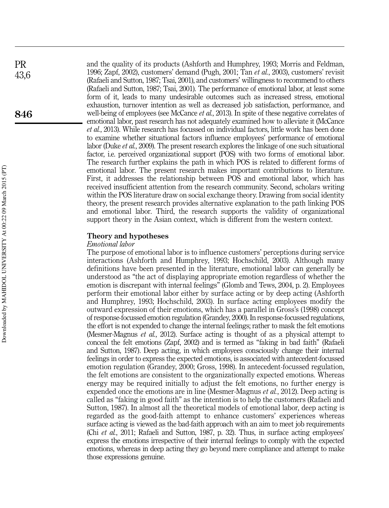and the quality of its products (Ashforth and Humphrey, 1993; Morris and Feldman, 1996; Zapf, 2002), customers' demand (Pugh, 2001; Tan *et al.*, 2003), customers' revisit (Rafaeli and Sutton, 1987; Tsai, 2001), and customers' willingness to recommend to others (Rafaeli and Sutton, 1987; Tsai, 2001). The performance of emotional labor, at least some form of it, leads to many undesirable outcomes such as increased stress, emotional exhaustion, turnover intention as well as decreased job satisfaction, performance, and well-being of employees (see McCance *et al.*, 2013). In spite of these negative correlates of emotional labor, past research has not adequately examined how to alleviate it (McCance *et al.*, 2013). While research has focussed on individual factors, little work has been done to examine whether situational factors influence employees' performance of emotional labor (Duke *et al.*, 2009). The present research explores the linkage of one such situational factor, i.e. perceived organizational support (POS) with two forms of emotional labor. The research further explains the path in which POS is related to different forms of emotional labor. The present research makes important contributions to literature. First, it addresses the relationship between POS and emotional labor, which has received insufficient attention from the research community. Second, scholars writing within the POS literature draw on social exchange theory. Drawing from social identity theory, the present research provides alternative explanation to the path linking POS and emotional labor. Third, the research supports the validity of organizational support theory in the Asian context, which is different from the western context.

## Theory and hypotheses

#### *Emotional labor*

The purpose of emotional labor is to influence customers' perceptions during service interactions (Ashforth and Humphrey, 1993; Hochschild, 2003). Although many definitions have been presented in the literature, emotional labor can generally be understood as "the act of displaying appropriate emotion regardless of whether the emotion is discrepant with internal feelings" (Glomb and Tews, 2004, p. 2). Employees perform their emotional labor either by surface acting or by deep acting (Ashforth and Humphrey, 1993; Hochschild, 2003). In surface acting employees modify the outward expression of their emotions, which has a parallel in Gross's (1998) concept of response-focussed emotion regulation (Grandey, 2000). In response-focussed regulations, the effort is not expended to change the internal feelings; rather to mask the felt emotions (Mesmer-Magnus *et al.*, 2012). Surface acting is thought of as a physical attempt to conceal the felt emotions (Zapf, 2002) and is termed as "faking in bad faith" (Rafaeli and Sutton, 1987). Deep acting, in which employees consciously change their internal feelings in order to express the expected emotions, is associated with antecedent-focussed emotion regulation (Grandey, 2000; Gross, 1998). In antecedent-focussed regulation, the felt emotions are consistent to the organizationally expected emotions. Whereas energy may be required initially to adjust the felt emotions, no further energy is expended once the emotions are in line (Mesmer-Magnus *et al.*, 2012). Deep acting is called as "faking in good faith" as the intention is to help the customers (Rafaeli and Sutton, 1987). In almost all the theoretical models of emotional labor, deep acting is regarded as the good-faith attempt to enhance customers' experiences whereas surface acting is viewed as the bad-faith approach with an aim to meet job requirements (Chi *et al.*, 2011; Rafaeli and Sutton, 1987, p. 32). Thus, in surface acting employees' express the emotions irrespective of their internal feelings to comply with the expected emotions, whereas in deep acting they go beyond mere compliance and attempt to make those expressions genuine.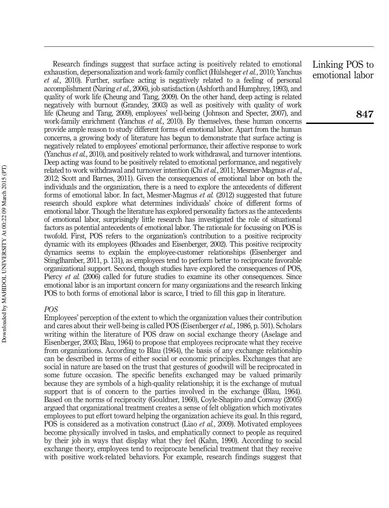Research findings suggest that surface acting is positively related to emotional exhaustion, depersonalization and work-family conflict (Hülsheger *et al.*, 2010; Yanchus *et al.*, 2010). Further, surface acting is negatively related to a feeling of personal accomplishment (Naring *et al.*, 2006), job satisfaction (Ashforth and Humphrey, 1993), and quality of work life (Cheung and Tang, 2009). On the other hand, deep acting is related negatively with burnout (Grandey, 2003) as well as positively with quality of work life (Cheung and Tang, 2009), employees' well-being ( Johnson and Specter, 2007), and work-family enrichment (Yanchus *et al.*, 2010). By themselves, these human concerns provide ample reason to study different forms of emotional labor. Apart from the human concerns, a growing body of literature has begun to demonstrate that surface acting is negatively related to employees' emotional performance, their affective response to work (Yanchus *et al.*, 2010), and positively related to work withdrawal, and turnover intentions. Deep acting was found to be positively related to emotional performance, and negatively related to work withdrawal and turnover intention (Chi *et al.*, 2011; Mesmer-Magnus *et al.*, 2012; Scott and Barnes, 2011). Given the consequences of emotional labor on both the individuals and the organization, there is a need to explore the antecedents of different forms of emotional labor. In fact, Mesmer-Magnus *et al.* (2012) suggested that future research should explore what determines individuals' choice of different forms of emotional labor. Though the literature has explored personality factors as the antecedents of emotional labor, surprisingly little research has investigated the role of situational factors as potential antecedents of emotional labor. The rationale for focussing on POS is twofold. First, POS refers to the organization's contribution to a positive reciprocity dynamic with its employees (Rhoades and Eisenberger, 2002). This positive reciprocity dynamics seems to explain the employee-customer relationships (Eisenberger and Stinglhamber, 2011, p. 131), as employees tend to perform better to reciprocate favorable organizational support. Second, though studies have explored the consequences of POS, Piercy *et al.* (2006) called for future studies to examine its other consequences. Since emotional labor is an important concern for many organizations and the research linking POS to both forms of emotional labor is scarce, I tried to fill this gap in literature.

# *POS*

Employees' perception of the extent to which the organization values their contribution and cares about their well-being is called POS (Eisenberger *et al.*, 1986, p. 501). Scholars writing within the literature of POS draw on social exchange theory (Aselage and Eisenberger, 2003; Blau, 1964) to propose that employees reciprocate what they receive from organizations. According to Blau (1964), the basis of any exchange relationship can be described in terms of either social or economic principles. Exchanges that are social in nature are based on the trust that gestures of goodwill will be reciprocated in some future occasion. The specific benefits exchanged may be valued primarily because they are symbols of a high-quality relationship; it is the exchange of mutual support that is of concern to the parties involved in the exchange (Blau, 1964). Based on the norms of reciprocity (Gouldner, 1960), Coyle-Shapiro and Conway (2005) argued that organizational treatment creates a sense of felt obligation which motivates employees to put effort toward helping the organization achieve its goal. In this regard, POS is considered as a motivation construct (Liao *et al.*, 2009). Motivated employees become physically involved in tasks, and emphatically connect to people as required by their job in ways that display what they feel (Kahn, 1990). According to social exchange theory, employees tend to reciprocate beneficial treatment that they receive with positive work-related behaviors. For example, research findings suggest that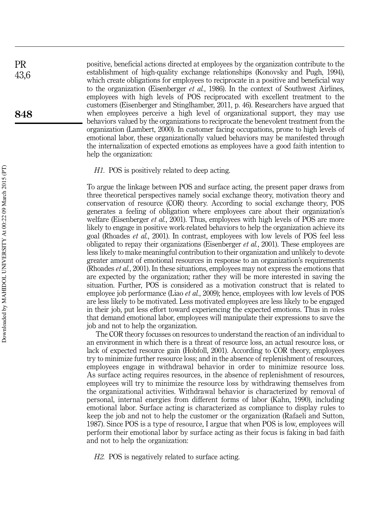positive, beneficial actions directed at employees by the organization contribute to the establishment of high-quality exchange relationships (Konovsky and Pugh, 1994), which create obligations for employees to reciprocate in a positive and beneficial way to the organization (Eisenberger *et al.*, 1986). In the context of Southwest Airlines, employees with high levels of POS reciprocated with excellent treatment to the customers (Eisenberger and Stinglhamber, 2011, p. 46). Researchers have argued that when employees perceive a high level of organizational support, they may use behaviors valued by the organizations to reciprocate the benevolent treatment from the organization (Lambert, 2000). In customer facing occupations, prone to high levels of emotional labor, these organizationally valued behaviors may be manifested through the internalization of expected emotions as employees have a good faith intention to help the organization:

*H1.* POS is positively related to deep acting.

To argue the linkage between POS and surface acting, the present paper draws from three theoretical perspectives namely social exchange theory, motivation theory and conservation of resource (COR) theory. According to social exchange theory, POS generates a feeling of obligation where employees care about their organization's welfare (Eisenberger *et al.*, 2001). Thus, employees with high levels of POS are more likely to engage in positive work-related behaviors to help the organization achieve its goal (Rhoades *et al.*, 2001). In contrast, employees with low levels of POS feel less obligated to repay their organizations (Eisenberger *et al.*, 2001). These employees are less likely to make meaningful contribution to their organization and unlikely to devote greater amount of emotional resources in response to an organization's requirements (Rhoades *et al.*, 2001). In these situations, employees may not express the emotions that are expected by the organization; rather they will be more interested in saving the situation. Further, POS is considered as a motivation construct that is related to employee job performance (Liao *et al.*, 2009); hence, employees with low levels of POS are less likely to be motivated. Less motivated employees are less likely to be engaged in their job, put less effort toward experiencing the expected emotions. Thus in roles that demand emotional labor, employees will manipulate their expressions to save the job and not to help the organization.

The COR theory focusses on resources to understand the reaction of an individual to an environment in which there is a threat of resource loss, an actual resource loss, or lack of expected resource gain (Hobfoll, 2001). According to COR theory, employees try to minimize further resource loss; and in the absence of replenishment of resources, employees engage in withdrawal behavior in order to minimize resource loss. As surface acting requires resources, in the absence of replenishment of resources, employees will try to minimize the resource loss by withdrawing themselves from the organizational activities. Withdrawal behavior is characterized by removal of personal, internal energies from different forms of labor (Kahn, 1990), including emotional labor. Surface acting is characterized as compliance to display rules to keep the job and not to help the customer or the organization (Rafaeli and Sutton, 1987). Since POS is a type of resource, I argue that when POS is low, employees will perform their emotional labor by surface acting as their focus is faking in bad faith and not to help the organization:

*H2.* POS is negatively related to surface acting.

848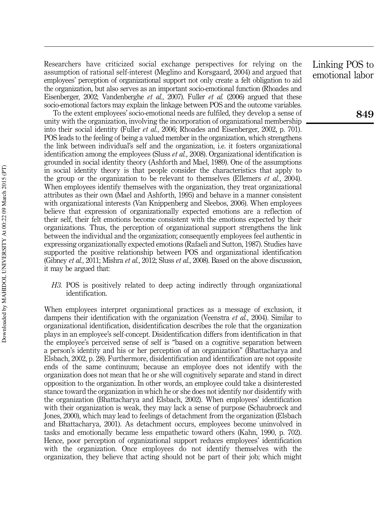Researchers have criticized social exchange perspectives for relying on the assumption of rational self-interest (Meglino and Korsgaard, 2004) and argued that employees' perception of organizational support not only create a felt obligation to aid the organization, but also serves as an important socio-emotional function (Rhoades and Eisenberger, 2002; Vandenberghe *et al.*, 2007). Fuller *et al.* (2006) argued that these socio-emotional factors may explain the linkage between POS and the outcome variables.

To the extent employees' socio-emotional needs are fulfiled, they develop a sense of unity with the organization, involving the incorporation of organizational membership into their social identity (Fuller *et al.*, 2006; Rhoades and Eisenberger, 2002, p. 701). POS leads to the feeling of being a valued member in the organization, which strengthens the link between individual's self and the organization, i.e. it fosters organizational identification among the employees (Sluss *et al.*, 2008). Organizational identification is grounded in social identity theory (Ashforth and Mael, 1989). One of the assumptions in social identity theory is that people consider the characteristics that apply to the group or the organization to be relevant to themselves (Ellemers *et al.*, 2004). When employees identify themselves with the organization, they treat organizational attributes as their own (Mael and Ashforth, 1995) and behave in a manner consistent with organizational interests (Van Knippenberg and Sleebos, 2006). When employees believe that expression of organizationally expected emotions are a reflection of their self, their felt emotions become consistent with the emotions expected by their organizations. Thus, the perception of organizational support strengthens the link between the individual and the organization; consequently employees feel authentic in expressing organizationally expected emotions (Rafaeli and Sutton, 1987). Studies have supported the positive relationship between POS and organizational identification (Gibney *et al.*, 2011; Mishra *et al.*, 2012; Sluss *et al.*, 2008). Based on the above discussion, it may be argued that:

*H3.* POS is positively related to deep acting indirectly through organizational identification.

When employees interpret organizational practices as a message of exclusion, it dampens their identification with the organization (Veenstra *et al.*, 2004). Similar to organizational identification, disidentification describes the role that the organization plays in an employee's self-concept. Disidentification differs from identification in that the employee's perceived sense of self is "based on a cognitive separation between a person's identity and his or her perception of an organization" (Bhattacharya and Elsbach, 2002, p. 28). Furthermore, disidentification and identification are not opposite ends of the same continuum; because an employee does not identify with the organization does not mean that he or she will cognitively separate and stand in direct opposition to the organization. In other words, an employee could take a disinterested stance toward the organization in which he or she does not identify nor disidentify with the organization (Bhattacharya and Elsbach, 2002). When employees' identification with their organization is weak, they may lack a sense of purpose (Schaubroeck and Jones, 2000), which may lead to feelings of detachment from the organization (Elsbach and Bhattacharya, 2001). As detachment occurs, employees become uninvolved in tasks and emotionally became less empathetic toward others (Kahn, 1990, p. 702). Hence, poor perception of organizational support reduces employees' identification with the organization. Once employees do not identify themselves with the organization, they believe that acting should not be part of their job; which might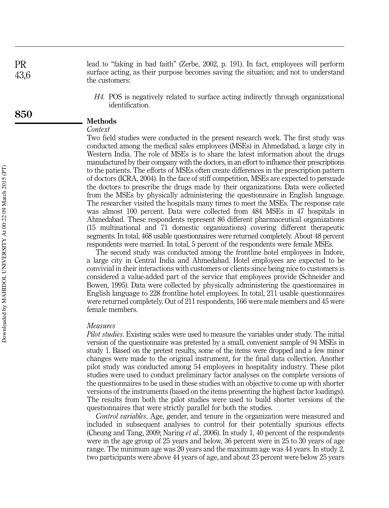lead to "faking in bad faith" (Zerbe, 2002, p. 191). In fact, employees will perform surface acting, as their purpose becomes saving the situation; and not to understand the customers:

> *H4.* POS is negatively related to surface acting indirectly through organizational identification.

## **Methods**

## *Context*

Two field studies were conducted in the present research work. The first study was conducted among the medical sales employees (MSEs) in Ahmedabad, a large city in Western India. The role of MSEs is to share the latest information about the drugs manufactured by their company with the doctors, in an effort to influence their prescriptions to the patients. The efforts of MSEs often create differences in the prescription pattern of doctors (ICRA, 2004). In the face of stiff competition, MSEs are expected to persuade the doctors to prescribe the drugs made by their organizations. Data were collected from the MSEs by physically administering the questionnaire in English language. The researcher visited the hospitals many times to meet the MSEs. The response rate was almost 100 percent. Data were collected from 484 MSEs in 47 hospitals in Ahmedabad. These respondents represent 86 different pharmaceutical organizations (15 multinational and 71 domestic organizations) covering different therapeutic segments. In total, 468 usable questionnaires were returned completely. About 48 percent respondents were married. In total, 5 percent of the respondents were female MSEs.

The second study was conducted among the frontline hotel employees in Indore, a large city in Central India and Ahmedabad. Hotel employees are expected to be convivial in their interactions with customers or clients since being nice to customers is considered a value-added part of the service that employees provide (Schneider and Bowen, 1995). Data were collected by physically administering the questionnaires in English language to 228 frontline hotel employees. In total, 211 usable questionnaires were returned completely. Out of 211 respondents, 166 were male members and 45 were female members.

#### *Measures*

*Pilot studies*. Existing scales were used to measure the variables under study. The initial version of the questionnaire was pretested by a small, convenient sample of 94 MSEs in study 1. Based on the pretest results, some of the items were dropped and a few minor changes were made to the original instrument, for the final data collection. Another pilot study was conducted among 54 employees in hospitality industry. These pilot studies were used to conduct preliminary factor analyses on the complete versions of the questionnaires to be used in these studies with an objective to come up with shorter versions of the instruments (based on the items presenting the highest factor loadings). The results from both the pilot studies were used to build shorter versions of the questionnaires that were strictly parallel for both the studies.

*Control variables*. Age, gender, and tenure in the organization were measured and included in subsequent analyses to control for their potentially spurious effects (Cheung and Tang, 2009; Naring *et al.*, 2006). In study 1, 40 percent of the respondents were in the age group of 25 years and below, 36 percent were in 25 to 30 years of age range. The minimum age was 20 years and the maximum age was 44 years. In study 2, two participants were above 44 years of age, and about 23 percent were below 25 years

850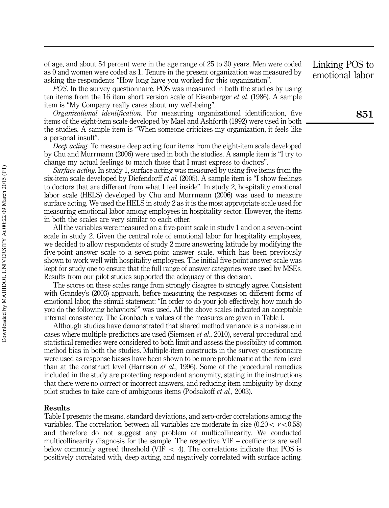of age, and about 54 percent were in the age range of 25 to 30 years. Men were coded as 0 and women were coded as 1. Tenure in the present organization was measured by asking the respondents "How long have you worked for this organization".

*POS*. In the survey questionnaire, POS was measured in both the studies by using ten items from the 16 item short version scale of Eisenberger *et al.* (1986). A sample item is "My Company really cares about my well-being".

*Organizational identification*. For measuring organizational identification, five items of the eight-item scale developed by Mael and Ashforth (1992) were used in both the studies. A sample item is "When someone criticizes my organization, it feels like a personal insult".

*Deep acting*. To measure deep acting four items from the eight-item scale developed by Chu and Murrmann (2006) were used in both the studies. A sample item is "I try to change my actual feelings to match those that I must express to doctors".

*Surface acting*. In study 1, surface acting was measured by using five items from the six-item scale developed by Diefendorff *et al.* (2005). A sample item is "I show feelings to doctors that are different from what I feel inside". In study 2, hospitality emotional labor scale (HELS) developed by Chu and Murrmann (2006) was used to measure surface acting. We used the HELS in study 2 as it is the most appropriate scale used for measuring emotional labor among employees in hospitality sector. However, the items in both the scales are very similar to each other.

All the variables were measured on a five-point scale in study 1 and on a seven-point scale in study 2. Given the central role of emotional labor for hospitality employees, we decided to allow respondents of study 2 more answering latitude by modifying the five-point answer scale to a seven-point answer scale, which has been previously shown to work well with hospitality employees. The initial five-point answer scale was kept for study one to ensure that the full range of answer categories were used by MSEs. Results from our pilot studies supported the adequacy of this decision.

The scores on these scales range from strongly disagree to strongly agree. Consistent with Grandey's (2003) approach, before measuring the responses on different forms of emotional labor, the stimuli statement: "In order to do your job effectively, how much do you do the following behaviors?" was used. All the above scales indicated an acceptable internal consistency. The Cronbach  $\alpha$  values of the measures are given in Table I.

Although studies have demonstrated that shared method variance is a non-issue in cases where multiple predictors are used (Siemsen *et al.*, 2010), several procedural and statistical remedies were considered to both limit and assess the possibility of common method bias in both the studies. Multiple-item constructs in the survey questionnaire were used as response biases have been shown to be more problematic at the item level than at the construct level (Harrison *et al.*, 1996). Some of the procedural remedies included in the study are protecting respondent anonymity, stating in the instructions that there were no correct or incorrect answers, and reducing item ambiguity by doing pilot studies to take care of ambiguous items (Podsakoff *et al.*, 2003).

# Results

Table I presents the means, standard deviations, and zero-order correlations among the variables. The correlation between all variables are moderate in size  $(0.20 < r < 0.58)$ and therefore do not suggest any problem of multicollinearity. We conducted multicollinearity diagnosis for the sample. The respective VIF – coefficients are well below commonly agreed threshold (VIF  $\langle 4 \rangle$ ). The correlations indicate that POS is positively correlated with, deep acting, and negatively correlated with surface acting.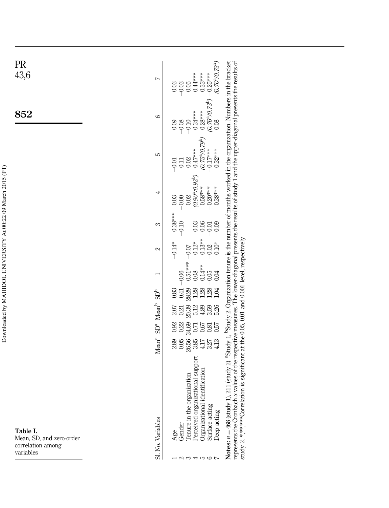| PR<br>43,6                                                             | $\overline{ }$                         | $(0.70^{\rm p} / 0.73^{\rm b})$<br>$0.33***$<br>$-0.25***$<br>$0.44***$<br>$-0.03$<br>0.05<br>0.03                                                                |                                                                                                                                                                                                                                                                                                                                                                                                                          |
|------------------------------------------------------------------------|----------------------------------------|-------------------------------------------------------------------------------------------------------------------------------------------------------------------|--------------------------------------------------------------------------------------------------------------------------------------------------------------------------------------------------------------------------------------------------------------------------------------------------------------------------------------------------------------------------------------------------------------------------|
| 852                                                                    | $\circ$                                | $(0.76^{\rm a} / 0.73^{\rm b})$<br>$-0.34***$<br>$-0.28***$<br>$-0.10$<br>0.08<br>$-0.08$<br>0.09                                                                 |                                                                                                                                                                                                                                                                                                                                                                                                                          |
|                                                                        | S                                      | $(0.75^{\rm a} / 0.79^{\rm b})$<br>$0.47***$<br>$0.32***$<br>$-0.17$ ***<br>$\begin{array}{c} 0.11 \\ 0.02 \end{array}$<br>$-0.01$                                |                                                                                                                                                                                                                                                                                                                                                                                                                          |
|                                                                        | 4                                      | $(0.90^{\rm a} / 0.92^{\rm b})$<br>$0.38***$<br>$0.58***$<br>$-0.20***$<br>$-0.00$<br>$0.02\,$<br>0.03                                                            |                                                                                                                                                                                                                                                                                                                                                                                                                          |
|                                                                        | S                                      | $0.38***$<br>$-0.10$<br>$-0.09$<br>$-0.03$<br>0.06<br>$-0.01$                                                                                                     |                                                                                                                                                                                                                                                                                                                                                                                                                          |
|                                                                        | $\sim$                                 | $-0.13**$<br>$0.12*$<br>$0.10*$<br>$-0.14*$<br>$-0.02$<br>$-0.07$                                                                                                 |                                                                                                                                                                                                                                                                                                                                                                                                                          |
|                                                                        | $\overline{\phantom{0}}$               | $0.51***$<br>$0.14***$<br>0.08<br>$-0.05$<br>$-0.04$<br>$-0.06$                                                                                                   |                                                                                                                                                                                                                                                                                                                                                                                                                          |
|                                                                        | $\operatorname{SD}^{\operatorname{b}}$ | $1.04$<br>0.41<br>$\begin{array}{l} 23 \\ 23 \\ 1 \end{array}$ $\begin{array}{l} 23 \\ 1 \end{array}$<br>0.83                                                     |                                                                                                                                                                                                                                                                                                                                                                                                                          |
|                                                                        | $\mathbf{Mean}^\mathtt{b}$             | $20.39$<br>$\begin{array}{c}\n 2888 \\ 5400\n \end{array}$<br>2.07<br>0.21                                                                                        |                                                                                                                                                                                                                                                                                                                                                                                                                          |
|                                                                        | SDª                                    | $0.22$<br>34.69<br>0.92<br>0.67<br>0.71<br>0.57<br>0.81                                                                                                           |                                                                                                                                                                                                                                                                                                                                                                                                                          |
|                                                                        | Mean <sup>a</sup>                      | $0.05$<br>26.56<br>$3.85$ $4.17$<br>2.89<br>3.27<br>4.13                                                                                                          |                                                                                                                                                                                                                                                                                                                                                                                                                          |
| Table I.<br>Mean, SD, and zero-order<br>correlation among<br>variables | No. Variables<br>க்                    | ional support<br>tification<br>Tenure in the organization<br>Perceived organizational su<br>Organizational iden<br>Surface acting<br>Deep acting<br>Age<br>Gender | represents the Cronbach a values of the respective measures. The lower-diagonal presents the results of study 1 and the upper-diagonal presents the results of<br>Notes: $n = 468$ (study 1), 211 (study 2). "Study 2, Organization tenure is the number of months worked in the organization. Numbers in the bracket<br>n is significant at the 0.05, 0.01 and 0.001 level, respectively<br>study 2. *******Correlation |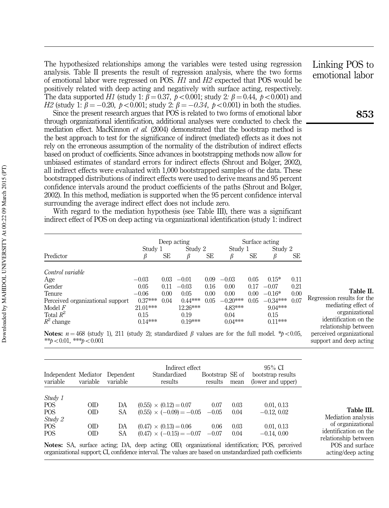The hypothesized relationships among the variables were tested using regression analysis. Table II presents the result of regression analysis, where the two forms of emotional labor were regressed on POS. *H1* and *H2* expected that POS would be positively related with deep acting and negatively with surface acting, respectively. The data supported *H1* (study 1:  $\beta = 0.37$ ,  $p < 0.001$ ; study 2:  $\beta = 0.44$ ,  $p < 0.001$ ) and *H2* (study 1:  $\hat{\beta} = -0.20$ ,  $\hat{p} < 0.001$ ; study 2:  $\beta = -0.34$ ,  $\hat{p} < 0.001$ ) in both the studies.

Since the present research argues that POS is related to two forms of emotional labor through organizational identification, additional analyses were conducted to check the mediation effect. MacKinnon *et al.* (2004) demonstrated that the bootstrap method is the best approach to test for the significance of indirect (mediated) effects as it does not rely on the erroneous assumption of the normality of the distribution of indirect effects based on product of coefficients. Since advances in bootstrapping methods now allow for unbiased estimates of standard errors for indirect effects (Shrout and Bolger, 2002), all indirect effects were evaluated with 1,000 bootstrapped samples of the data. These bootstrapped distributions of indirect effects were used to derive means and 95 percent confidence intervals around the product coefficients of the paths (Shrout and Bolger, 2002). In this method, mediation is supported when the 95 percent confidence interval surrounding the average indirect effect does not include zero.

With regard to the mediation hypothesis (see Table III), there was a significant indirect effect of POS on deep acting via organizational identification (study 1: indirect

|                                                                                                               | Deep acting |      |            |      | Surface acting |      |            |      |                                               |
|---------------------------------------------------------------------------------------------------------------|-------------|------|------------|------|----------------|------|------------|------|-----------------------------------------------|
|                                                                                                               | Study 1     |      | Study 2    |      | Study 1        |      | Study 2    |      |                                               |
| Predictor                                                                                                     |             | SЕ   |            | SЕ   | B              | SЕ   | ß          | SЕ   |                                               |
| Control variable                                                                                              |             |      |            |      |                |      |            |      |                                               |
| Age                                                                                                           | $-0.03$     | 0.03 | $-0.01$    | 0.09 | $-0.03$        | 0.05 | $0.15*$    | 0.11 |                                               |
| Gender                                                                                                        | 0.05        | 0.11 | $-0.03$    | 0.16 | 0.00           | 0.17 | $-0.07$    | 0.21 |                                               |
| Tenure                                                                                                        | $-0.06$     | 0.00 | 0.05       | 0.00 | 0.00           | 0.00 | $-0.16*$   | 0.00 | Table II.                                     |
| Perceived organizational support                                                                              | $0.37***$   | 0.04 | $0.44***$  | 0.05 | $-0.20***$     | 0.05 | $-0.34***$ | 0.07 | Regression results for the                    |
| Model $F$                                                                                                     | $21.01***$  |      | $12.26***$ |      | 4.83***        |      | $9.04***$  |      | mediating effect of                           |
| Total $R^2$                                                                                                   | 0.15        |      | 0.19       |      | 0.04           |      | 0.15       |      | organizational                                |
| $R^2$ change                                                                                                  | $0.14***$   |      | $0.19***$  |      | $0.04***$      |      | $0.11***$  |      | identification on the<br>relationship between |
| <b>Notes:</b> $n = 468$ (study 1), 211 (study 2): standardized B values are for the full model, $*b < 0.05$ . |             |      |            |      |                |      |            |      | perceived organizational                      |

Notes:  $n = 468$  (study 1), 211 (study 2); standardized  $\beta$  values are for the full model.  $* p < 0.05$ ,  $*p$ <sup>*\*\*p*</sup> $< 0.01$ ,  $*^{*p}$ *p* $< 0.001$ 

| Independent Mediator Dependent<br>variable | variable   | variable | Indirect effect<br>Standardized<br>results                                                                                                                                                                  | Bootstrap SE of<br>results | mean | 95% CI<br>bootstrap results<br>(lower and upper) |                                               |
|--------------------------------------------|------------|----------|-------------------------------------------------------------------------------------------------------------------------------------------------------------------------------------------------------------|----------------------------|------|--------------------------------------------------|-----------------------------------------------|
| Study 1<br>POS.                            | <b>OID</b> | DA       | $(0.55) \times (0.12) = 0.07$                                                                                                                                                                               | 0.07                       | 0.03 | 0.01, 0.13                                       |                                               |
| <b>POS</b><br>Study 2                      | <b>OID</b> | SА       | $(0.55) \times (-0.09) = -0.05$                                                                                                                                                                             | $-0.05$                    | 0.04 | $-0.12, 0.02$                                    | Table III.<br>Mediation analysis              |
| <b>POS</b>                                 | OD         | DА       | $(0.47) \times (0.13) = 0.06$                                                                                                                                                                               | 0.06                       | 0.03 | 0.01, 0.13                                       | of organizational                             |
| <b>POS</b>                                 | <b>OID</b> | SА       | $(0.47) \times (-0.15) = -0.07$                                                                                                                                                                             | $-0.07$                    | 0.04 | $-0.14, 0.00$                                    | identification on the<br>relationship between |
|                                            |            |          | Notes: SA, surface acting; DA, deep acting; OID, organizational identification; POS, perceived<br>organizational support; CI, confidence interval. The values are based on unstandardized path coefficients |                            |      |                                                  | POS and surface<br>acting/deep acting         |

Linking POS to emotional labor

support and deep acting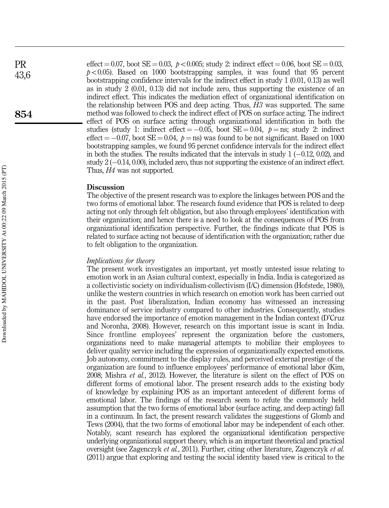| effect = 0.07, boot SE = 0.03, $p < 0.005$ ; study 2: indirect effect = 0.06, boot SE = 0.03,    |
|--------------------------------------------------------------------------------------------------|
| $p < 0.05$ ). Based on 1000 bootstrapping samples, it was found that 95 percent                  |
| bootstrapping confidence intervals for the indirect effect in study $1(0.01, 0.13)$ as well      |
| as in study $2(0.01, 0.13)$ did not include zero, thus supporting the existence of an            |
| indirect effect. This indicates the mediation effect of organizational identification on         |
| the relationship between POS and deep acting. Thus, H <sub>3</sub> was supported. The same       |
| method was followed to check the indirect effect of POS on surface acting. The indirect          |
| effect of POS on surface acting through organizational identification in both the                |
| studies (study 1: indirect effect = -0.05, boot SE = 0.04, $p = \text{ns}$ ; study 2: indirect   |
| effect = $-0.07$ , boot SE = 0.04, $p =$ ns) was found to be not significant. Based on 1000      |
| bootstrapping samples, we found 95 percnet confidence intervals for the indirect effect          |
| in both the studies. The results indicated that the intervals in study 1 ( $-0.12$ , 0.02), and  |
| study $2(-0.14, 0.00)$ , included zero, thus not supporting the existence of an indirect effect. |
| Thus, H4 was not supported.                                                                      |

## **Discussion**

The objective of the present research was to explore the linkages between POS and the two forms of emotional labor. The research found evidence that POS is related to deep acting not only through felt obligation, but also through employees' identification with their organization; and hence there is a need to look at the consequences of POS from organizational identification perspective. Further, the findings indicate that POS is related to surface acting not because of identification with the organization; rather due to felt obligation to the organization.

#### *Implications for theory*

The present work investigates an important, yet mostly untested issue relating to emotion work in an Asian cultural context, especially in India. India is categorized as a collectivistic society on individualism-collectivism (I/C) dimension (Hofstede, 1980), unlike the western countries in which research on emotion work has been carried out in the past. Post liberalization, Indian economy has witnessed an increasing dominance of service industry compared to other industries. Consequently, studies have endorsed the importance of emotion management in the Indian context (D'Cruz and Noronha, 2008). However, research on this important issue is scant in India. Since frontline employees' represent the organization before the customers, organizations need to make managerial attempts to mobilize their employees to deliver quality service including the expression of organizationally expected emotions. Job autonomy, commitment to the display rules, and perceived external prestige of the organization are found to influence employees' performance of emotional labor (Kim, 2008; Mishra *et al.*, 2012). However, the literature is silent on the effect of POS on different forms of emotional labor. The present research adds to the existing body of knowledge by explaining POS as an important antecedent of different forms of emotional labor. The findings of the research seem to refute the commonly held assumption that the two forms of emotional labor (surface acting, and deep acting) fall in a continuum. In fact, the present research validates the suggestions of Glomb and Tews (2004), that the two forms of emotional labor may be independent of each other. Notably, scant research has explored the organizational identification perspective underlying organizational support theory, which is an important theoretical and practical oversight (see Zagenczyk *et al.*, 2011). Further, citing other literature, Zagenczyk *et al.* (2011) argue that exploring and testing the social identity based view is critical to the

854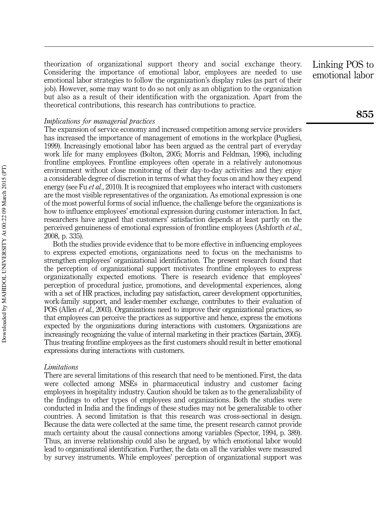theorization of organizational support theory and social exchange theory. Considering the importance of emotional labor, employees are needed to use emotional labor strategies to follow the organization's display rules (as part of their job). However, some may want to do so not only as an obligation to the organization but also as a result of their identification with the organization. Apart from the theoretical contributions, this research has contributions to practice.

## *Implications for managerial practices*

The expansion of service economy and increased competition among service providers has increased the importance of management of emotions in the workplace (Pugliesi, 1999). Increasingly emotional labor has been argued as the central part of everyday work life for many employees (Bolton, 2005; Morris and Feldman, 1996), including frontline employees. Frontline employees often operate in a relatively autonomous environment without close monitoring of their day-to-day activities and they enjoy a considerable degree of discretion in terms of what they focus on and how they expend energy (see Fu *et al.*, 2010). It is recognized that employees who interact with customers are the most visible representatives of the organization. As emotional expression is one of the most powerful forms of social influence, the challenge before the organizations is how to influence employees' emotional expression during customer interaction. In fact, researchers have argued that customers' satisfaction depends at least partly on the perceived genuineness of emotional expression of frontline employees (Ashforth *et al.*, 2008, p. 335).

Both the studies provide evidence that to be more effective in influencing employees to express expected emotions, organizations need to focus on the mechanisms to strengthen employees' organizational identification. The present research found that the perception of organizational support motivates frontline employees to express organizationally expected emotions. There is research evidence that employees' perception of procedural justice, promotions, and developmental experiences, along with a set of HR practices, including pay satisfaction, career development opportunities, work-family support, and leader-member exchange, contributes to their evaluation of POS (Allen *et al.*, 2003). Organizations need to improve their organizational practices, so that employees can perceive the practices as supportive and hence, express the emotions expected by the organizations during interactions with customers. Organizations are increasingly recognizing the value of internal marketing in their practices (Sartain, 2005). Thus treating frontline employees as the first customers should result in better emotional expressions during interactions with customers.

#### *Limitations*

There are several limitations of this research that need to be mentioned. First, the data were collected among MSEs in pharmaceutical industry and customer facing employees in hospitality industry. Caution should be taken as to the generalizability of the findings to other types of employees and organizations. Both the studies were conducted in India and the findings of these studies may not be generalizable to other countries. A second limitation is that this research was cross-sectional in design. Because the data were collected at the same time, the present research cannot provide much certainty about the causal connections among variables (Spector, 1994, p. 389). Thus, an inverse relationship could also be argued, by which emotional labor would lead to organizational identification. Further, the data on all the variables were measured by survey instruments. While employees' perception of organizational support was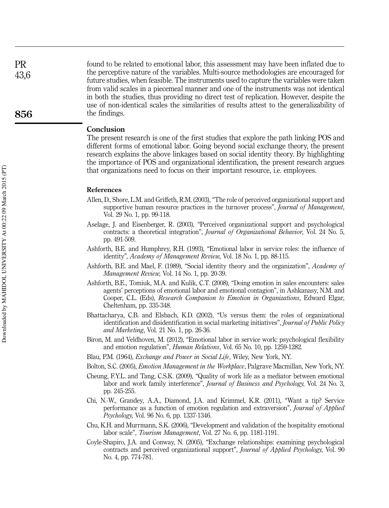found to be related to emotional labor, this assessment may have been inflated due to the perceptive nature of the variables. Multi-source methodologies are encouraged for future studies, when feasible. The instruments used to capture the variables were taken from valid scales in a piecemeal manner and one of the instruments was not identical in both the studies, thus providing no direct test of replication. However, despite the use of non-identical scales the similarities of results attest to the generalizability of the findings.

# Conclusion

The present research is one of the first studies that explore the path linking POS and different forms of emotional labor. Going beyond social exchange theory, the present research explains the above linkages based on social identity theory. By highlighting the importance of POS and organizational identification, the present research argues that organizations need to focus on their important resource, i.e. employees.

#### References

- Allen, D., Shore, L.M. and Griffeth, R.M. (2003), "The role of perceived organizational support and supportive human resource practices in the turnover process", *Journal of Management*, Vol. 29 No. 1, pp. 99-118.
- Aselage, J. and Eisenberger, R. (2003), "Perceived organizational support and psychological contracts: a theoretical integration", *Journal of Organizational Behavior*, Vol. 24 No. 5, pp. 491-509.
- Ashforth, B.E. and Humphrey, R.H. (1993), "Emotional labor in service roles: the influence of identity", *Academy of Management Review*, Vol. 18 No. 1, pp. 88-115.
- Ashforth, B.E. and Mael, F. (1989), "Social identity theory and the organization", *Academy of Management Review*, Vol. 14 No. 1, pp. 20-39.
- Ashforth, B.E., Tomiuk, M.A. and Kulik, C.T. (2008), "Doing emotion in sales encounters: sales agents' perceptions of emotional labor and emotional contagion", in Ashkanasy, N.M. and Cooper, C.L. (Eds), *Research Companion to Emotion in Organizations*, Edward Elgar, Cheltenham, pp. 335-348.
- Bhattacharya, C.B. and Elsbach, K.D. (2002), "Us versus them: the roles of organizational identification and disidentification in social marketing initiatives", *Journal of Public Policy and Marketing*, Vol. 21 No. 1, pp. 26-36.
- Biron, M. and Veldhoven, M. (2012), "Emotional labor in service work: psychological flexibility and emotion regulation", *Human Relations*, Vol. 65 No. 10, pp. 1259-1282.
- Blau, P.M. (1964), *Exchange and Power in Social Life*, Wiley, New York, NY.
- Bolton, S.C. (2005), *Emotion Management in the Workplace*, Palgrave Macmillan, New York, NY.
- Cheung, F.Y.L. and Tang, C.S.K. (2009), "Quality of work life as a mediator between emotional labor and work family interference", *Journal of Business and Psychology*, Vol. 24 No. 3, pp. 245-255.
- Chi, N.-W., Grandey, A.A., Diamond, J.A. and Krimmel, K.R. (2011), "Want a tip? Service performance as a function of emotion regulation and extraversion", *Journal of Applied Psychology*, Vol. 96 No. 6, pp. 1337-1346.
- Chu, K.H. and Murrmann, S.K. (2006), "Development and validation of the hospitality emotional labor scale", *Tourism Management*, Vol. 27 No. 6, pp. 1181-1191.
- Coyle-Shapiro, J.A. and Conway, N. (2005), "Exchange relationships: examining psychological contracts and perceived organizational support", *Journal of Applied Psychology*, Vol. 90 No. 4, pp. 774-781.

856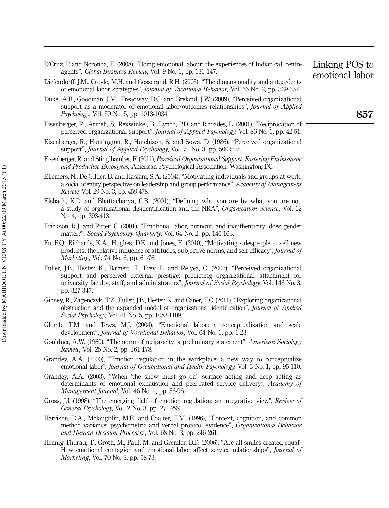- D'Cruz, P. and Noronha, E. (2008), "Doing emotional labour: the experiences of Indian call centre agents", *Global Business Review*, Vol. 9 No. 1, pp. 131-147.
- Diefendorff, J.M., Croyle, M.H. and Gosserand, R.H. (2005), "The dimensionality and antecedents of emotional labor strategies", *Journal of Vocational Behavior*, Vol. 66 No. 2, pp. 339-357.
- Duke, A.B., Goodman, J.M., Treadway, D.C. and Breland, J.W. (2009), "Perceived organizational support as a moderator of emotional labor/outcomes relationships", *Journal of Applied Psychology*, Vol. 39 No. 5, pp. 1013-1034.
- Eisenberger, R., Armeli, S., Rexwinkel, B., Lynch, P.D. and Rhoades, L. (2001), "Reciprocation of perceived organizational support", *Journal of Applied Psychology*, Vol. 86 No. 1, pp. 42-51.
- Eisenberger, R., Huntington, R., Hutchison, S. and Sowa, D. (1986), "Perceived organizational support", *Journal of Applied Psychology*, Vol. 71 No. 3, pp. 500-507.
- Eisenberger, R. and Stinglhamber, F. (2011), *Perceived Organizational Support: Fostering Enthusiastic and Productive Employees*, American Psychological Association, Washington, DC.
- Ellemers, N., De Gilder, D. and Haslam, S.A. (2004), "Motivating individuals and groups at work: a social identity perspective on leadership and group performance", *Academy of Management Review*, Vol. 29 No. 3, pp. 459-478.
- Elsbach, K.D. and Bhattacharya, C.B. (2001), "Defining who you are by what you are not: a study of organizational disidentification and the NRA", *Organization Science*, Vol. 12 No. 4, pp. 393-413.
- Erickson, R.J. and Ritter, C. (2001), "Emotional labor, burnout, and inauthenticity: does gender matter?", *Social Psychology Quarterly*, Vol. 64 No. 2, pp. 146-163.
- Fu, F.Q., Richards, K.A., Hughes, D.E. and Jones, E. (2010), "Motivating salespeople to sell new products: the relative influence of attitudes, subjective norms, and self-efficacy", *Journal of Marketing*, Vol. 74 No. 6, pp. 61-76.
- Fuller, J.B., Hester, K., Barnett, T., Frey, L. and Relyea, C. (2006), "Perceived organizational support and perceived external prestige: predicting organizational attachment for university faculty, staff, and administrators", *Journal of Social Psychology*, Vol. 146 No. 3, pp. 327-347.
- Gibney, R., Zagenczyk, T.Z., Fuller, J.B., Hester, K. and Caner, T.C. (2011), "Exploring organizational obstruction and the expanded model of organizational identification", *Journal of Applied Social Psychology*, Vol. 41 No. 5, pp. 1083-1109.
- Glomb, T.M. and Tews, M.J. (2004), "Emotional labor: a conceptualization and scale development", *Journal of Vocational Behavior*, Vol. 64 No. 1, pp. 1-23.
- Gouldner, A.W. (1960), "The norm of reciprocity: a preliminary statement", *American Sociology Review*, Vol. 25 No. 2, pp. 161-178.
- Grandey, A.A. (2000), "Emotion regulation in the workplace: a new way to conceptualize emotional labor", *Journal of Occupational and Health Psychology*, Vol. 5 No. 1, pp. 95-110.
- Grandey, A.A. (2003), "When 'the show must go on': surface acting and deep acting as determinants of emotional exhaustion and peer-rated service delivery", *Academy of Management Journal*, Vol. 46 No. 1, pp. 86-96.
- Gross, J.J. (1998), "The emerging field of emotion regulation: an integrative view", *Review of General Psychology*, Vol. 2 No. 3, pp. 271-299.
- Harrison, D.A., Mclaughlin, M.E. and Coalter, T.M. (1996), "Context, cognition, and common method variance: psychometric and verbal protocol evidence", *Organizational Behavior and Human Decision Processes*, Vol. 68 No. 3, pp. 246-261.
- Hennig-Thurau, T., Groth, M., Paul, M. and Gremler, D.D. (2006), "Are all smiles created equal? How emotional contagion and emotional labor affect service relationships", *Journal of Marketing*, Vol. 70 No. 3, pp. 58-73.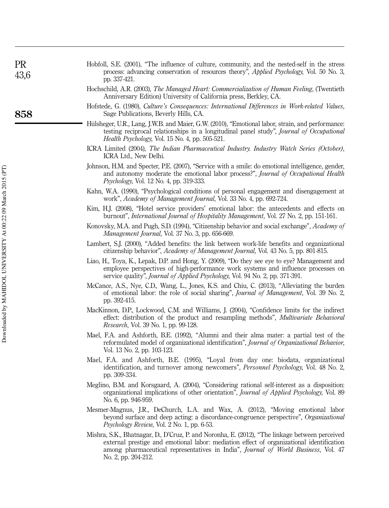| <b>PR</b><br>43,6 | Hobfoll, S.E. (2001), "The influence of culture, community, and the nested-self in the stress<br>process: advancing conservation of resources theory", Applied Psychology, Vol. 50 No. 3,<br>pp. 337-421.                                                                                               |
|-------------------|---------------------------------------------------------------------------------------------------------------------------------------------------------------------------------------------------------------------------------------------------------------------------------------------------------|
|                   | Hochschild, A.R. (2003), The Managed Heart: Commercialization of Human Feeling, (Twentieth<br>Anniversary Edition) University of California press, Berkley, CA.                                                                                                                                         |
| 858               | Hofstede, G. (1980), Culture's Consequences: International Differences in Work-related Values,<br>Sage Publications, Beverly Hills, CA.                                                                                                                                                                 |
|                   | Hülsheger, U.R., Lang, J.W.B. and Maier, G.W. (2010), "Emotional labor, strain, and performance:<br>testing reciprocal relationships in a longitudinal panel study", Journal of Occupational<br><i>Health Psychology</i> , Vol. 15 No. 4, pp. 505-521.                                                  |
|                   | ICRA Limited (2004), The Indian Pharmaceutical Industry. Industry Watch Series (October),<br>ICRA Ltd., New Delhi.                                                                                                                                                                                      |
|                   | Johnson, H.M. and Specter, P.E. (2007), "Service with a smile: do emotional intelligence, gender,<br>and autonomy moderate the emotional labor process?", Journal of Occupational Health<br><i>Psychology</i> , Vol. 12 No. 4, pp. 319-333.                                                             |
|                   | Kahn, W.A. (1990), "Psychological conditions of personal engagement and disengagement at<br>work", Academy of Management Journal, Vol. 33 No. 4, pp. 692-724.                                                                                                                                           |
|                   | Kim, H.J. (2008), "Hotel service providers' emotional labor: the antecedents and effects on<br>burnout", <i>International Journal of Hospitality Management</i> , Vol. 27 No. 2, pp. 151-161.                                                                                                           |
|                   | Konovsky, M.A. and Pugh, S.D. (1994), "Citizenship behavior and social exchange", Academy of<br>Management Journal, Vol. 37 No. 3, pp. 656-669.                                                                                                                                                         |
|                   | Lambert, S.J. (2000), "Added benefits: the link between work-life benefits and organizational<br>citizenship behavior", Academy of Management Journal, Vol. 43 No. 5, pp. 801-815.                                                                                                                      |
|                   | Liao, H., Toya, K., Lepak, D.P. and Hong, Y. (2009), "Do they see eye to eye? Management and<br>employee perspectives of high-performance work systems and influence processes on<br>service quality", Journal of Applied Psychology, Vol. 94 No. 2, pp. 371-391.                                       |
|                   | McCance, A.S., Nye, C.D., Wang, L., Jones, K.S. and Chiu, C. (2013), "Alleviating the burden<br>of emotional labor: the role of social sharing", <i>Journal of Management</i> , Vol. 39 No. 2,<br>pp. 392-415.                                                                                          |
|                   | MacKinnon, D.P., Lockwood, C.M. and Williams, J. (2004), "Confidence limits for the indirect<br>effect: distribution of the product and resampling methods", Multivariate Behavioral<br><i>Research</i> , Vol. 39 No. 1, pp. 99-128.                                                                    |
|                   | Mael, F.A. and Ashforth, B.E. (1992), "Alumni and their alma mater: a partial test of the<br>reformulated model of organizational identification", Journal of Organizational Behavior,<br>Vol. 13 No. 2, pp. 103-123.                                                                                   |
|                   | Mael, F.A. and Ashforth, B.E. (1995), "Loyal from day one: biodata, organizational<br>identification, and turnover among newcomers", Personnel Psychology, Vol. 48 No. 2,<br>pp. 309-334.                                                                                                               |
|                   | Meglino, B.M. and Korsgaard, A. (2004), "Considering rational self-interest as a disposition:<br>organizational implications of other orientation", Journal of Applied Psychology, Vol. 89<br>No. 6, pp. 946-959.                                                                                       |
|                   | Mesmer-Magnus, J.R., DeChurch, L.A. and Wax, A. (2012), "Moving emotional labor<br>beyond surface and deep acting: a discordance-congruence perspective", Organizational<br><i>Psychology Review, Vol. 2 No. 1, pp. 6-53.</i>                                                                           |
|                   | Mishra, S.K., Bhatnagar, D., D'Cruz, P. and Noronha, E. (2012), "The linkage between perceived<br>external prestige and emotional labor: mediation effect of organizational identification<br>among pharmaceutical representatives in India", Journal of World Business, Vol. 47<br>No. 2, pp. 204-212. |
|                   |                                                                                                                                                                                                                                                                                                         |

Downloaded by MAHIDOL UNIVERSITY At 00:22 09 March 2015 (PT) Downloaded by MAHIDOL UNIVERSITY At 00:22 09 March 2015 (PT)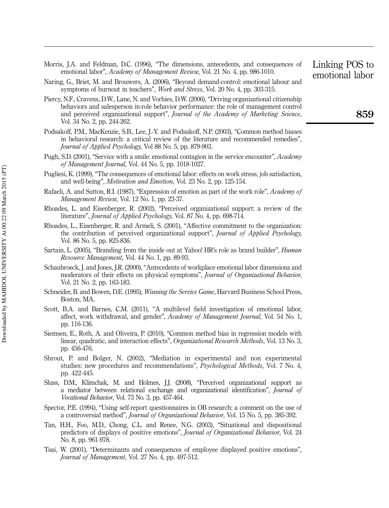- Morris, J.A. and Feldman, D.C. (1996), "The dimensions, antecedents, and consequences of emotional labor", *Academy of Management Review*, Vol. 21 No. 4, pp. 986-1010.
- Naring, G., Briet, M. and Brouwers, A. (2006), "Beyond demand-control: emotional labour and symptoms of burnout in teachers", *Work and Stress*, Vol. 20 No. 4, pp. 303-315.
- Piercy, N.F., Cravens, D.W., Lane, N. and Vorhies, D.W. (2006), "Driving organizational citizenship behaviors and salesperson in-role behavior performance: the role of management control and perceived organizational support", *Journal of the Academy of Marketing Science*, Vol. 34 No. 2, pp. 244-262.
- Podsakoff, P.M., MacKenzie, S.B., Lee, J.-Y. and Podsakoff, N.P. (2003), "Common method biases in behavioral research: a critical review of the literature and recommended remedies", *Journal of Applied Psychology*, Vol 88 No. 5, pp. 879-903.
- Pugh, S.D. (2001), "Service with a smile: emotional contagion in the service encounter", *Academy of Management Journal*, Vol. 44 No. 5, pp. 1018-1027.
- Pugliesi, K. (1999), "The consequences of emotional labor: effects on work stress, job satisfaction, and well-being", *Motivation and Emotion*, Vol. 23 No. 2, pp. 125-154.
- Rafaeli, A. and Sutton, R.I. (1987), "Expression of emotion as part of the work role", *Academy of Management Review*, Vol. 12 No. 1, pp. 23-37.
- Rhoades, L. and Eisenberger, R. (2002), "Perceived organizational support: a review of the literature", *Journal of Applied Psychology*, Vol. 87 No. 4, pp. 698-714.
- Rhoades, L., Eisenberger, R. and Armeli, S. (2001), "Affective commitment to the organization: the contribution of perceived organizational support", *Journal of Applied Psychology*, Vol. 86 No. 5, pp. 825-836.
- Sartain, L. (2005), "Branding from the inside out at Yahoo! HR's role as brand builder", *Human Resource Management*, Vol. 44 No. 1, pp. 89-93.
- Schaubroeck, J. and Jones, J.R. (2000), "Antecedents of workplace emotional labor dimensions and moderators of their effects on physical symptoms", *Journal of Organizational Behavior*, Vol. 21 No. 2, pp. 163-183.
- Schneider, B. and Bowen, D.E. (1995), *Winning the Service Game*, Harvard Business School Press, Boston, MA.
- Scott, B.A. and Barnes, C.M. (2011), "A multilevel field investigation of emotional labor, affect, work withdrawal, and gender", *Academy of Management Journal*, Vol. 54 No. 1, pp. 116-136.
- Siemsen, E., Roth, A. and Oliveira, P. (2010), "Common method bias in regression models with linear, quadratic, and interaction effects", *Organizational Research Methods*, Vol. 13 No. 3, pp. 456-476.
- Shrout, P. and Bolger, N. (2002), "Mediation in experimental and non experimental studies: new procedures and recommendations", *Psychological Methods*, Vol. 7 No. 4, pp. 422-445.
- Sluss, D.M., Klimchak, M. and Holmes, J.J. (2008), "Perceived organizational support as a mediator between relational exchange and organizational identification", *Journal of Vocational Behavior*, Vol. 73 No. 3, pp. 457-464.
- Spector, P.E. (1994), "Using self-report questionnaires in OB research: a comment on the use of a controversial method", *Journal of Organizational Behavior*, Vol. 15 No. 5, pp. 385-392.
- Tan, H.H., Foo, M.D., Chong, C.L. and Renee, N.G. (2003), "Situational and dispositional predictors of displays of positive emotions", *Journal of Organizational Behavior*, Vol. 24 No. 8, pp. 961-978.
- Tsai, W. (2001), "Determinants and consequences of employee displayed positive emotions", *Journal of Management*, Vol. 27 No. 4, pp. 497-512.